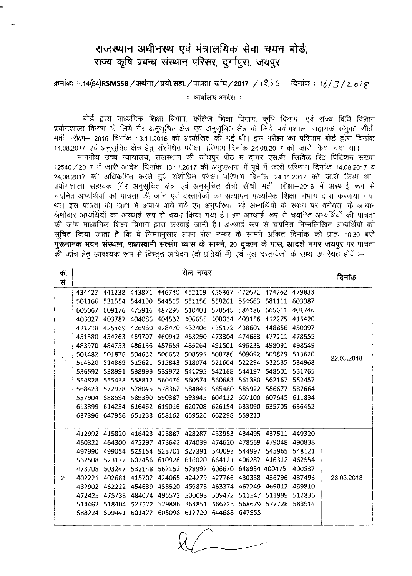## राजस्थान अधीनस्थ एवं मंत्रालयिक सेवा चयन बोर्ड, **~ ~ ~ ~ qR'fN, S/lf9;'<I, \rll(9)'<**

## ~: l:f.14(54)RSMSSB/3T~/~.WT./<IT?rffi **\Jft=q/2017 /** *1~3 (, ~:* 16/3( *z..ot <sup>~</sup>*

 $-$ ः कार्यालय आदेश ::-

बोर्ड द्वारा माध्यमिक शिक्षा विभाग, कॉलेज शिक्षा विभाग, कृषि विभाग, एवं राज्य विधि विज्ञान प्रयोगशाला विभाग के लिये गैर अनुसूचित क्षेत्र एवं अनुसूचित क्षेत्र के लिये प्रयोगशाला सहायक संयुक्त सीधी +र्ती परीक्षा- 2016 दिनांक 13.11.2016 को आयोजित की गई थी। इस परीक्षा का परिणाम बोर्ड द्वारा दिनांक 14.08.2017 एवं अनुसूचित क्षेत्र हेतु संशोधित परीक्षा परिणाम दिनांक 24.08.2017 को जारी किया गया था।

माननीय उच्च न्यायालय, राजस्थान की जोधपुर पीठ में दायर एस.बी. सिविल रिट पिटिशन संख्या 12540 / 2017 में जारी आदेश दिनांक 13.11.2017 की अनुपालना में पूर्व में जारी परिणाम दिनांक 14.08.2017 व  $24.08.2017$  को अधिकमित करते हुये संशोधित परीक्षा परिणाम दिनांक 24.11.2017 को जारी किया था। प्रयोगशाला सहायक (गैर अनुसूचित क्षेत्र एवं अनुसूचित क्षेत्र) सीधी भर्ती परीक्षा–2016 में अस्थाई रूप से चयनित अभ्यर्थियों की पात्रता की जांच एवं दस्तावेजों का सत्यापन माध्यमिक शिक्षा विभाग द्वारा करवाया गया था। इस पात्रता की जांच में अपात्र पाये गये एवं अनुपरिथत रहे अभ्यर्थियों के स्थान पर वरीयता के आधार श्रेणीवार अभ्यर्थियों का अस्थाई रूप से चयन किया गया है। इन अस्थाई रूप से चयनित अभ्यर्थियों की पात्रता की जांच माध्यमिक शिक्षा विभाग द्वारा करवाई जानी है। अस्थाई रूप से चयनित निम्नलिखित अभ्यर्थियों को सूचित किया जाता है कि वे निम्नानुसार अपने रोल नम्बर के सामने अंकित दिनांक को प्रातः 10.30 बजे गुरूनानक भवन संस्थान, राधास्वामी सत्संग व्यास के सामने, 20 दुकान के पास, आदर्श नगर जयपुर पर पात्रता की जांच हेतु आवश्यक रूप से विस्तृत आवेदन (दो प्रतियों में) एवं मूल दस्तावेजों के साथ उपस्थित होवें :-

| क्र.<br>स. | रोल नम्बर |               |                                                  |                      |                             |                             |               |                                                                |               | दिनांक     |
|------------|-----------|---------------|--------------------------------------------------|----------------------|-----------------------------|-----------------------------|---------------|----------------------------------------------------------------|---------------|------------|
|            |           |               |                                                  |                      |                             |                             |               |                                                                |               |            |
| 1.         |           |               |                                                  |                      |                             |                             |               | 434422 441238 443871 446740 452119 456367 472672 474762 479833 |               | 22.03.2018 |
|            | 501166    | 531554        | 544190                                           |                      | 544515 551156               | 558261 564663               |               | 581111                                                         | 603987        |            |
|            | 605067    | 609176        | 475916                                           | 487295               | 510403                      | 578545                      | 584186        | 665611                                                         | 401746        |            |
|            | 403027    | 403787        |                                                  | 404086 404532        |                             | 406655 408014 409156 412275 |               |                                                                | 415420        |            |
|            | 421218    | 425469        | 426960                                           | 428470               | 432406                      |                             | 435171 438601 | 448856                                                         | 450097        |            |
|            |           | 451380 454263 | 459707 460942                                    |                      |                             | 463290 473304 474683 477211 |               |                                                                | 478555        |            |
|            | 483970    | 484753        | 486136                                           | 487659               | 489264                      |                             | 491501 496233 | 498091                                                         | 498549        |            |
|            |           | 501482 501876 |                                                  | 504632 506652 508595 |                             | 508786                      | 509092        | 509829                                                         | 513620        |            |
|            | 514320    | 514869        | 515621                                           | 515843               | 518074                      | 521604                      | 522294        | 532535                                                         | 534968        |            |
|            | 536692    | 538991        |                                                  | 538999 539972 541295 |                             | 542168                      | 544197        | 548501                                                         | 551765        |            |
|            | 554828    | 555438        |                                                  | 558812 560476        | 560574                      | 560683                      | 561380        | 562167                                                         | 562457        |            |
|            | 568423    | 572978        | 578045                                           | 578362               | 584841                      | 585480                      | 585922        | 586677                                                         | 587664        |            |
|            | 587904    | 588594        | 589390                                           | 590387               | 593945                      | 604122                      | 607100        | 607645                                                         | 611834        |            |
|            | 613399    | 614234        | 616462                                           | 619016               | 620708                      | 626154                      | 633090        |                                                                | 635705 636452 |            |
|            |           |               | 637396 647956 651233 658162 659526 662298 559213 |                      |                             |                             |               |                                                                |               |            |
|            |           |               |                                                  |                      |                             |                             |               |                                                                |               |            |
|            |           | 412992 415820 |                                                  |                      |                             |                             |               | 416423 426887 428287 433953 434495 437511 449320               |               |            |
| 2.         | 460321    | 464300        |                                                  |                      | 472297 473642 474039 474620 |                             | 478559        | 479048                                                         | 490838        | 23.03.2018 |
|            | 497990    | 499054        |                                                  |                      | 525154 525701 527391        | 540093                      | 544997        | 545965                                                         | 548121        |            |
|            | 562508    | 573177        |                                                  | 607456 610928 616020 |                             | 664121                      | 406287        | 416312                                                         | - 462554      |            |
|            | 473708    | 503247        |                                                  | 532148 562152        | 578992                      | 606670                      |               | 648934 400475                                                  | 400537        |            |
|            | 402221    | 402681        | 415702                                           | 424065               | 424279                      | 427766                      | 430338        | 436796                                                         | 437493        |            |
|            | 437902    | 452222        | 454639                                           | 458520               | 459873                      | 463374                      | 467249        | 469012                                                         | 469810        |            |
|            | 472425    | 475738        | 484074                                           | 495572               | 500093                      | 509472                      | 511247        | 511999                                                         | 512836        |            |
|            | 514462    | 518404        |                                                  | 527572 529886        | 564851                      | 566723                      | 568679        |                                                                | 577728 583914 |            |
|            |           | 588224 599441 |                                                  |                      | 601472 605098 612720 644688 |                             | 647955        |                                                                |               |            |
|            |           |               |                                                  |                      |                             |                             |               |                                                                |               |            |